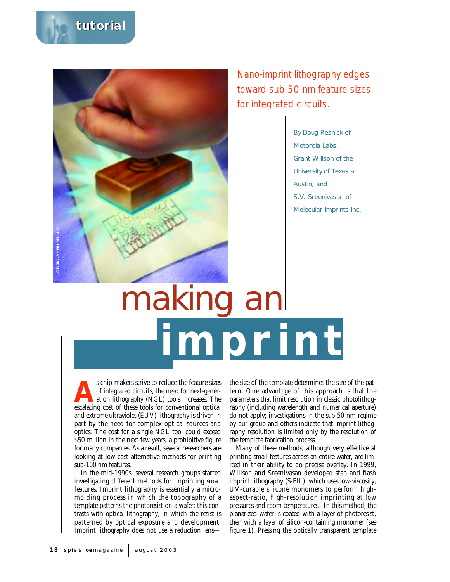



Nano-imprint lithography edges toward sub-50-nm feature sizes for integrated circuits.

> By Doug Resnick of Motorola Labs, Grant Willson of the University of Texas at Austin, and S.V. Sreenivasan of Molecular Imprints Inc.

# **imprint** making a

s chip-makers strive to reduce the feature sizes<br>of integrated circuits, the need for next-gener-<br>ation lithography (NGL) tools increases. The<br>escalating cost of these tools for conventional ontical of integrated circuits, the need for next-generation lithography (NGL) tools increases. The escalating cost of these tools for conventional optical and extreme ultraviolet (EUV) lithography is driven in part by the need for complex optical sources and optics. The cost for a single NGL tool could exceed \$50 million in the next few years, a prohibitive figure for many companies. As a result, several researchers are looking at low-cost alternative methods for printing sub-100 nm features.

In the mid-1990s, several research groups started investigating different methods for imprinting small features. Imprint lithography is essentially a micromolding process in which the topography of a template patterns the photoresist on a wafer; this contrasts with optical lithography, in which the resist is patterned by optical exposure and development. Imprint lithography does not use a reduction lensthe size of the template determines the size of the pattern. One advantage of this approach is that the parameters that limit resolution in classic photolithography (including wavelength and numerical aperture) do not apply; investigations in the sub-50-nm regime by our group and others indicate that imprint lithography resolution is limited only by the resolution of the template fabrication process.

Many of these methods, although very effective at printing small features across an entire wafer, are limited in their ability to do precise overlay. In 1999, Willson and Sreenivasan developed step and flash imprint lithography (S-FIL), which uses low-viscosity, UV-curable silicone monomers to perform highaspect-ratio, high-resolution imprinting at low pressures and room temperatures.<sup>1</sup> In this method, the planarized wafer is coated with a layer of photoresist, then with a layer of silicon-containing monomer (see figure 1). Pressing the optically transparent template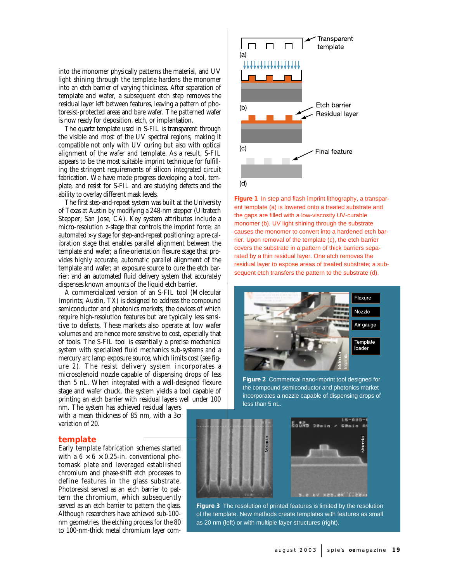into the monomer physically patterns the material, and UV light shining through the template hardens the monomer into an etch barrier of varying thickness. After separation of template and wafer, a subsequent etch step removes the residual layer left between features, leaving a pattern of photoresist-protected areas and bare wafer. The patterned wafer is now ready for deposition, etch, or implantation.

The quartz template used in S-FIL is transparent through the visible and most of the UV spectral regions, making it compatible not only with UV curing but also with optical alignment of the wafer and template. As a result, S-FIL appears to be the most suitable imprint technique for fulfilling the stringent requirements of silicon integrated circuit fabrication. We have made progress developing a tool, template, and resist for S-FIL and are studying defects and the ability to overlay different mask levels.

The first step-and-repeat system was built at the University of Texas at Austin by modifying a 248-nm stepper (Ultratech Stepper; San Jose, CA). Key system attributes include a micro-resolution z-stage that controls the imprint force; an automated x-y stage for step-and-repeat positioning; a pre-calibration stage that enables parallel alignment between the template and wafer; a fine-orientation flexure stage that provides highly accurate, automatic parallel alignment of the template and wafer; an exposure source to cure the etch barrier; and an automated fluid delivery system that accurately dispenses known amounts of the liquid etch barrier.

A commercialized version of an S-FIL tool (Molecular Imprints; Austin, TX) is designed to address the compound semiconductor and photonics markets, the devices of which require high-resolution features but are typically less sensitive to defects. These markets also operate at low wafer volumes and are hence more sensitive to cost, especially that of tools. The S-FIL tool is essentially a precise mechanical system with specialized fluid mechanics sub-systems and a mercury arc lamp exposure source, which limits cost (see figure 2). The resist delivery system incorporates a microsolenoid nozzle capable of dispensing drops of less than 5 nL. When integrated with a well-designed flexure stage and wafer chuck, the system yields a tool capable of printing an etch barrier with residual layers well under 100

nm. The system has achieved residual layers with a mean thickness of 85 nm, with a  $3\sigma$ variation of 20.

## **template**

Early template fabrication schemes started with a  $6 \times 6 \times 0.25$ -in. conventional photomask plate and leveraged established chromium and phase-shift etch processes to define features in the glass substrate. Photoresist served as an etch barrier to pattern the chromium, which subsequently served as an etch barrier to pattern the glass. Although researchers have achieved sub-100 nm geometries, the etching process for the 80 to 100-nm-thick metal chromium layer com-



**Figure 1** In step and flash imprint lithography, a transparent template (a) is lowered onto a treated substrate and the gaps are filled with a low-viscosity UV-curable monomer (b). UV light shining through the substrate causes the monomer to convert into a hardened etch barrier. Upon removal of the template (c), the etch barrier covers the substrate in a pattern of thick barriers separated by a thin residual layer. One etch removes the residual layer to expose areas of treated substrate; a subsequent etch transfers the pattern to the substrate (d).



**Figure 2** Commerical nano-imprint tool designed for the compound semiconductor and photonics market incorporates a nozzle capable of dispensing drops of less than 5 nL.





**Figure 3** The resolution of printed features is limited by the resolution of the template. New methods create templates with features as small as 20 nm (left) or with multiple layer structures (right).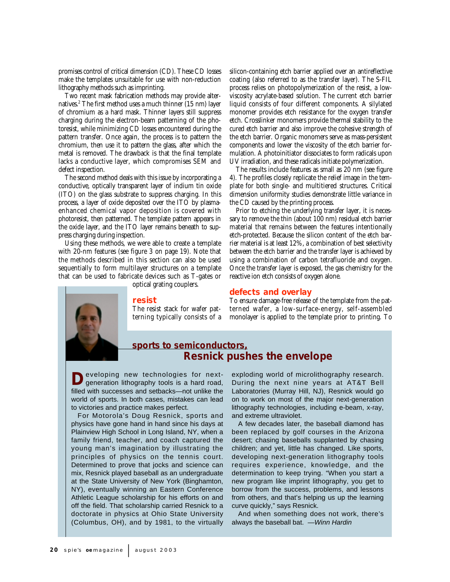promises control of critical dimension (CD). These CD losses make the templates unsuitable for use with non-reduction lithography methods such as imprinting.

Two recent mask fabrication methods may provide alternatives.2 The first method uses a much thinner (15 nm) layer of chromium as a hard mask. Thinner layers still suppress charging during the electron-beam patterning of the photoresist, while minimizing CD losses encountered during the pattern transfer. Once again, the process is to pattern the chromium, then use it to pattern the glass, after which the metal is removed. The drawback is that the final template lacks a conductive layer, which compromises SEM and defect inspection.

The second method deals with this issue by incorporating a conductive, optically transparent layer of indium tin oxide (ITO) on the glass substrate to suppress charging. In this process, a layer of oxide deposited over the ITO by plasmaenhanced chemical vapor deposition is covered with photoresist, then patterned. The template pattern appears in the oxide layer, and the ITO layer remains beneath to suppress charging during inspection.

Using these methods, we were able to create a template with 20-nm features (see figure 3 on page 19). Note that the methods described in this section can also be used sequentially to form multilayer structures on a template that can be used to fabricate devices such as T-gates or

optical grating couplers.

#### **resist**

The resist stack for wafer patterning typically consists of a silicon-containing etch barrier applied over an antireflective coating (also referred to as the transfer layer). The S-FIL process relies on photopolymerization of the resist, a lowviscosity acrylate-based solution. The current etch barrier liquid consists of four different components. A silylated monomer provides etch resistance for the oxygen transfer etch. Crosslinker monomers provide thermal stability to the cured etch barrier and also improve the cohesive strength of the etch barrier. Organic monomers serve as mass-persistent components and lower the viscosity of the etch barrier formulation. A photoinitiator dissociates to form radicals upon UV irradiation, and these radicals initiate polymerization.

The results include features as small as 20 nm (see figure 4). The profiles closely replicate the relief image in the template for both single- and multitiered structures. Critical dimension uniformity studies demonstrate little variance in the CD caused by the printing process.

Prior to etching the underlying transfer layer, it is necessary to remove the thin (about 100 nm) residual etch barrier material that remains between the features intentionally etch-protected. Because the silicon content of the etch barrier material is at least 12%, a combination of best selectivity between the etch barrier and the transfer layer is achieved by using a combination of carbon tetrafluoride and oxygen. Once the transfer layer is exposed, the gas chemistry for the reactive ion etch consists of oxygen alone.

#### **defects and overlay**

To ensure damage-free release of the template from the patterned wafer, a low-surface-energy, self-assembled monolayer is applied to the template prior to printing. To



# **sports to semiconductors, Resnick pushes the envelope**

**D**eveloping new technologies for next-<br>generation lithography tools is a hard road, filled with successes and setbacks—not unlike the world of sports. In both cases, mistakes can lead to victories and practice makes perfect.

For Motorola's Doug Resnick, sports and physics have gone hand in hand since his days at Plainview High School in Long Island, NY, when a family friend, teacher, and coach captured the young man's imagination by illustrating the principles of physics on the tennis court. Determined to prove that jocks and science can mix, Resnick played baseball as an undergraduate at the State University of New York (Binghamton, NY), eventually winning an Eastern Conference Athletic League scholarship for his efforts on and off the field. That scholarship carried Resnick to a doctorate in physics at Ohio State University (Columbus, OH), and by 1981, to the virtually

exploding world of microlithography research. During the next nine years at AT&T Bell Laboratories (Murray Hill, NJ), Resnick would go on to work on most of the major next-generation lithography technologies, including e-beam, x-ray, and extreme ultraviolet.

A few decades later, the baseball diamond has been replaced by golf courses in the Arizona desert; chasing baseballs supplanted by chasing children; and yet, little has changed. Like sports, developing next-generation lithography tools requires experience, knowledge, and the determination to keep trying. "When you start a new program like imprint lithography, you get to borrow from the success, problems, and lessons from others, and that's helping us up the learning curve quickly," says Resnick.

And when something does not work, there's always the baseball bat. —Winn Hardin